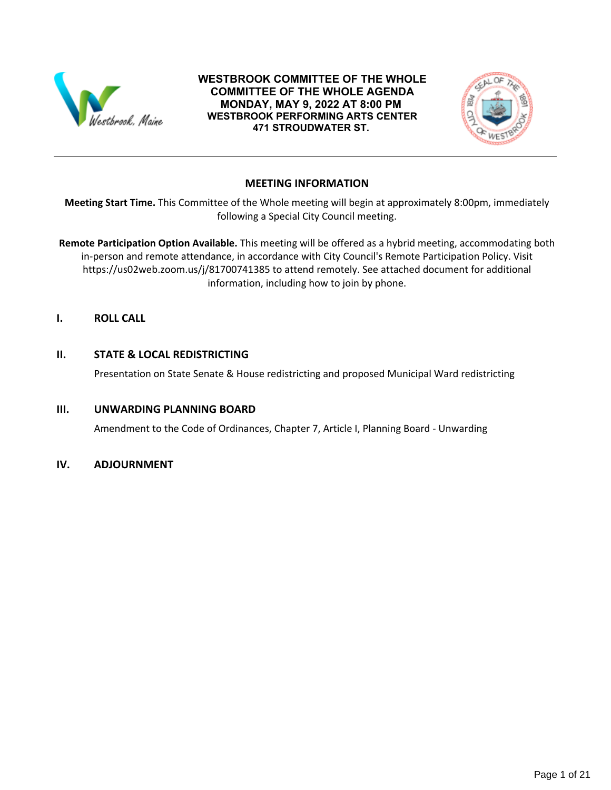

### **WESTBROOK COMMITTEE OF THE WHOLE COMMITTEE OF THE WHOLE AGENDA MONDAY, MAY 9, 2022 AT 8:00 PM WESTBROOK PERFORMING ARTS CENTER 471 STROUDWATER ST.**



## **MEETING INFORMATION**

**Meeting Start Time.** This Committee of the Whole meeting will begin at approximately 8:00pm, immediately following a Special City Council meeting.

**Remote Participation Option Available.** This meeting will be offered as a hybrid meeting, accommodating both in-person and remote attendance, in accordance with City Council's Remote Participation Policy. Visit https://us02web.zoom.us/j/81700741385 to attend remotely. See attached document for additional information, including how to join by phone.

**I. ROLL CALL**

## **II. STATE & LOCAL REDISTRICTING**

Presentation on State Senate & House redistricting and proposed Municipal Ward redistricting

## **III. UNWARDING PLANNING BOARD**

Amendment to the Code of Ordinances, Chapter 7, Article I, Planning Board - Unwarding

#### **IV. ADJOURNMENT**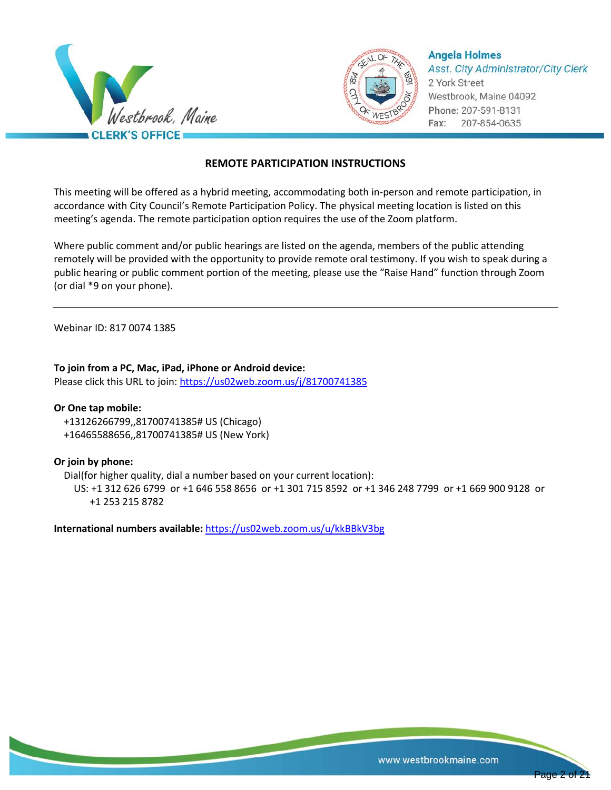



**Angela Holmes Asst. City Administrator/City Clerk** 2 York Street Westbrook, Maine 04092 Phone: 207-591-8131 Fax: 207-854-0635

## **REMOTE PARTICIPATION INSTRUCTIONS**

This meeting will be offered as a hybrid meeting, accommodating both in-person and remote participation, in accordance with City Council's Remote Participation Policy. The physical meeting location is listed on this meeting's agenda. The remote participation option requires the use of the Zoom platform.

Where public comment and/or public hearings are listed on the agenda, members of the public attending remotely will be provided with the opportunity to provide remote oral testimony. If you wish to speak during a public hearing or public comment portion of the meeting, please use the "Raise Hand" function through Zoom (or dial \*9 on your phone).

Webinar ID: 817 0074 1385

**To join from a PC, Mac, iPad, iPhone or Android device:** Please click this URL to join:<https://us02web.zoom.us/j/81700741385>

#### **Or One tap mobile:**

 +13126266799,,81700741385# US (Chicago) +16465588656,,81700741385# US (New York)

#### **Or join by phone:**

Dial(for higher quality, dial a number based on your current location):

 US: +1 312 626 6799 or +1 646 558 8656 or +1 301 715 8592 or +1 346 248 7799 or +1 669 900 9128 or +1 253 215 8782

**International numbers available:** <https://us02web.zoom.us/u/kkBBkV3bg>

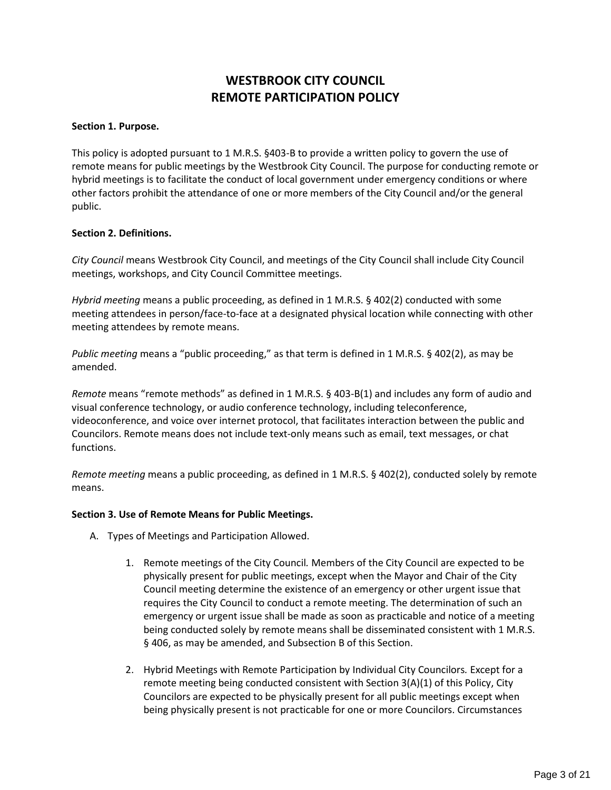# **WESTBROOK CITY COUNCIL REMOTE PARTICIPATION POLICY**

#### **Section 1. Purpose.**

This policy is adopted pursuant to 1 M.R.S. §403-B to provide a written policy to govern the use of remote means for public meetings by the Westbrook City Council. The purpose for conducting remote or hybrid meetings is to facilitate the conduct of local government under emergency conditions or where other factors prohibit the attendance of one or more members of the City Council and/or the general public.

#### **Section 2. Definitions.**

*City Council* means Westbrook City Council, and meetings of the City Council shall include City Council meetings, workshops, and City Council Committee meetings.

*Hybrid meeting* means a public proceeding, as defined in 1 M.R.S. § 402(2) conducted with some meeting attendees in person/face-to-face at a designated physical location while connecting with other meeting attendees by remote means.

*Public meeting* means a "public proceeding," as that term is defined in 1 M.R.S. § 402(2), as may be amended.

*Remote* means "remote methods" as defined in 1 M.R.S. § 403-B(1) and includes any form of audio and visual conference technology, or audio conference technology, including teleconference, videoconference, and voice over internet protocol, that facilitates interaction between the public and Councilors. Remote means does not include text-only means such as email, text messages, or chat functions.

*Remote meeting* means a public proceeding, as defined in 1 M.R.S. § 402(2), conducted solely by remote means.

#### **Section 3. Use of Remote Means for Public Meetings.**

- A. Types of Meetings and Participation Allowed.
	- 1. Remote meetings of the City Council*.* Members of the City Council are expected to be physically present for public meetings, except when the Mayor and Chair of the City Council meeting determine the existence of an emergency or other urgent issue that requires the City Council to conduct a remote meeting. The determination of such an emergency or urgent issue shall be made as soon as practicable and notice of a meeting being conducted solely by remote means shall be disseminated consistent with 1 M.R.S. § 406, as may be amended, and Subsection B of this Section.
	- 2. Hybrid Meetings with Remote Participation by Individual City Councilors*.* Except for a remote meeting being conducted consistent with Section 3(A)(1) of this Policy, City Councilors are expected to be physically present for all public meetings except when being physically present is not practicable for one or more Councilors. Circumstances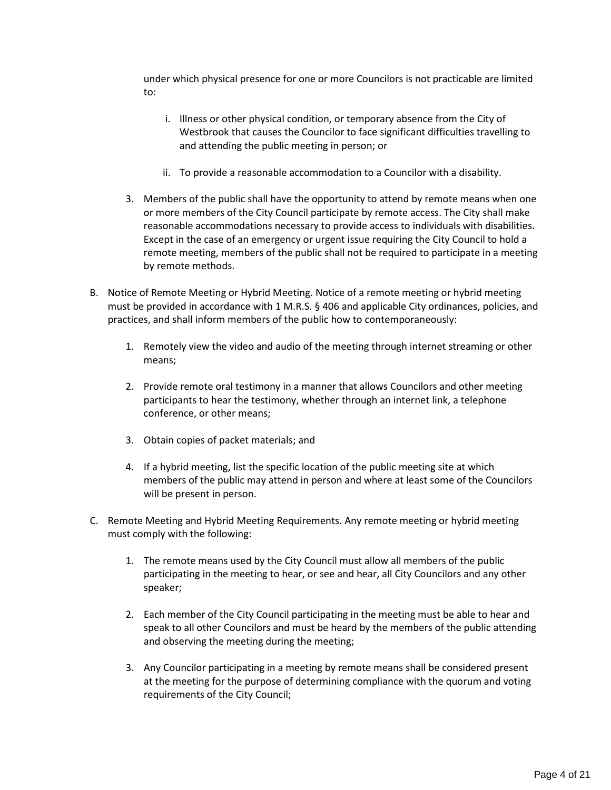under which physical presence for one or more Councilors is not practicable are limited to:

- i. Illness or other physical condition, or temporary absence from the City of Westbrook that causes the Councilor to face significant difficulties travelling to and attending the public meeting in person; or
- ii. To provide a reasonable accommodation to a Councilor with a disability.
- 3. Members of the public shall have the opportunity to attend by remote means when one or more members of the City Council participate by remote access. The City shall make reasonable accommodations necessary to provide access to individuals with disabilities. Except in the case of an emergency or urgent issue requiring the City Council to hold a remote meeting, members of the public shall not be required to participate in a meeting by remote methods.
- B. Notice of Remote Meeting or Hybrid Meeting. Notice of a remote meeting or hybrid meeting must be provided in accordance with 1 M.R.S. § 406 and applicable City ordinances, policies, and practices, and shall inform members of the public how to contemporaneously:
	- 1. Remotely view the video and audio of the meeting through internet streaming or other means;
	- 2. Provide remote oral testimony in a manner that allows Councilors and other meeting participants to hear the testimony, whether through an internet link, a telephone conference, or other means;
	- 3. Obtain copies of packet materials; and
	- 4. If a hybrid meeting, list the specific location of the public meeting site at which members of the public may attend in person and where at least some of the Councilors will be present in person.
- C. Remote Meeting and Hybrid Meeting Requirements. Any remote meeting or hybrid meeting must comply with the following:
	- 1. The remote means used by the City Council must allow all members of the public participating in the meeting to hear, or see and hear, all City Councilors and any other speaker;
	- 2. Each member of the City Council participating in the meeting must be able to hear and speak to all other Councilors and must be heard by the members of the public attending and observing the meeting during the meeting;
	- 3. Any Councilor participating in a meeting by remote means shall be considered present at the meeting for the purpose of determining compliance with the quorum and voting requirements of the City Council;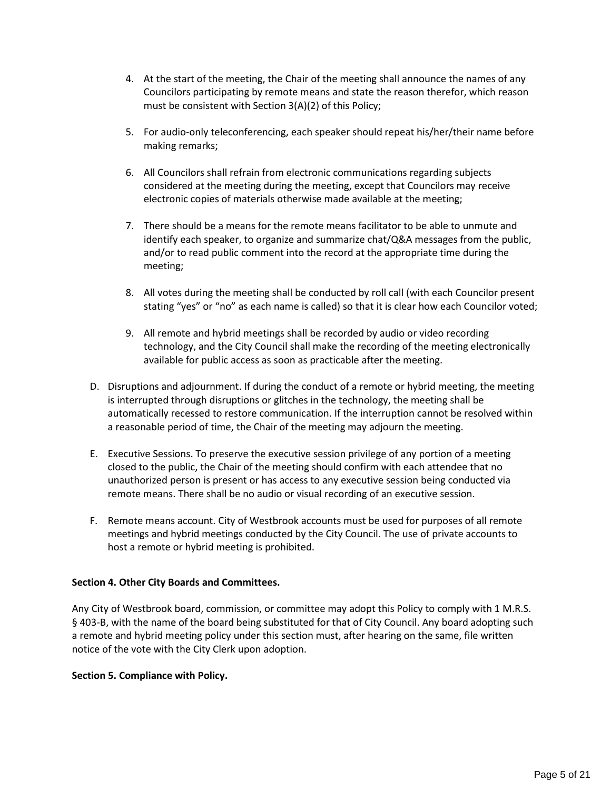- 4. At the start of the meeting, the Chair of the meeting shall announce the names of any Councilors participating by remote means and state the reason therefor, which reason must be consistent with Section 3(A)(2) of this Policy;
- 5. For audio-only teleconferencing, each speaker should repeat his/her/their name before making remarks;
- 6. All Councilors shall refrain from electronic communications regarding subjects considered at the meeting during the meeting, except that Councilors may receive electronic copies of materials otherwise made available at the meeting;
- 7. There should be a means for the remote means facilitator to be able to unmute and identify each speaker, to organize and summarize chat/Q&A messages from the public, and/or to read public comment into the record at the appropriate time during the meeting;
- 8. All votes during the meeting shall be conducted by roll call (with each Councilor present stating "yes" or "no" as each name is called) so that it is clear how each Councilor voted;
- 9. All remote and hybrid meetings shall be recorded by audio or video recording technology, and the City Council shall make the recording of the meeting electronically available for public access as soon as practicable after the meeting.
- D. Disruptions and adjournment. If during the conduct of a remote or hybrid meeting, the meeting is interrupted through disruptions or glitches in the technology, the meeting shall be automatically recessed to restore communication. If the interruption cannot be resolved within a reasonable period of time, the Chair of the meeting may adjourn the meeting.
- E. Executive Sessions. To preserve the executive session privilege of any portion of a meeting closed to the public, the Chair of the meeting should confirm with each attendee that no unauthorized person is present or has access to any executive session being conducted via remote means. There shall be no audio or visual recording of an executive session.
- F. Remote means account. City of Westbrook accounts must be used for purposes of all remote meetings and hybrid meetings conducted by the City Council. The use of private accounts to host a remote or hybrid meeting is prohibited.

#### **Section 4. Other City Boards and Committees.**

Any City of Westbrook board, commission, or committee may adopt this Policy to comply with 1 M.R.S. § 403-B, with the name of the board being substituted for that of City Council. Any board adopting such a remote and hybrid meeting policy under this section must, after hearing on the same, file written notice of the vote with the City Clerk upon adoption.

#### **Section 5. Compliance with Policy.**